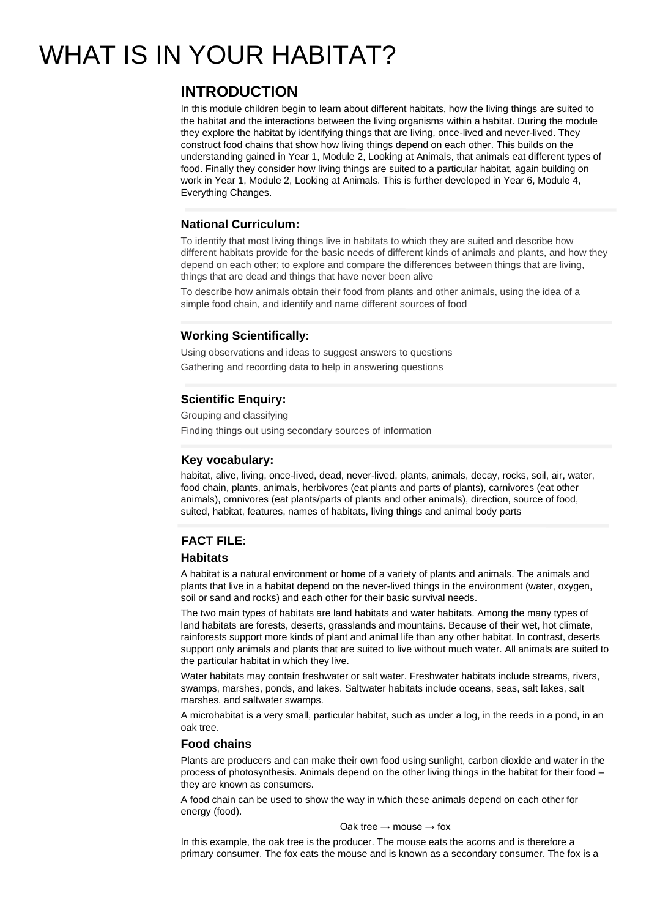# WHAT IS IN YOUR HABITAT?

# **INTRODUCTION**

In this module children begin to learn about different habitats, how the living things are suited to the habitat and the interactions between the living organisms within a habitat. During the module they explore the habitat by identifying things that are living, once-lived and never-lived. They construct food chains that show how living things depend on each other. This builds on the understanding gained in Year 1, Module 2, Looking at Animals, that animals eat different types of food. Finally they consider how living things are suited to a particular habitat, again building on work in Year 1, Module 2, Looking at Animals. This is further developed in Year 6, Module 4, Everything Changes.

# **National Curriculum:**

To identify that most living things live in habitats to which they are suited and describe how different habitats provide for the basic needs of different kinds of animals and plants, and how they depend on each other; to explore and compare the differences between things that are living, things that are dead and things that have never been alive

To describe how animals obtain their food from plants and other animals, using the idea of a simple food chain, and identify and name different sources of food

# **Working Scientifically:**

Using observations and ideas to suggest answers to questions Gathering and recording data to help in answering questions

# **Scientific Enquiry:**

Grouping and classifying Finding things out using secondary sources of information

### **Key vocabulary:**

habitat, alive, living, once-lived, dead, never-lived, plants, animals, decay, rocks, soil, air, water, food chain, plants, animals, herbivores (eat plants and parts of plants), carnivores (eat other animals), omnivores (eat plants/parts of plants and other animals), direction, source of food, suited, habitat, features, names of habitats, living things and animal body parts

## **FACT FILE:**

### **Habitats**

A habitat is a natural environment or home of a variety of plants and animals. The animals and plants that live in a habitat depend on the never-lived things in the environment (water, oxygen, soil or sand and rocks) and each other for their basic survival needs.

The two main types of habitats are land habitats and water habitats. Among the many types of land habitats are forests, deserts, grasslands and mountains. Because of their wet, hot climate, rainforests support more kinds of plant and animal life than any other habitat. In contrast, deserts support only animals and plants that are suited to live without much water. All animals are suited to the particular habitat in which they live.

Water habitats may contain freshwater or salt water. Freshwater habitats include streams, rivers, swamps, marshes, ponds, and lakes. Saltwater habitats include oceans, seas, salt lakes, salt marshes, and saltwater swamps.

A microhabitat is a very small, particular habitat, such as under a log, in the reeds in a pond, in an oak tree.

### **Food chains**

Plants are producers and can make their own food using sunlight, carbon dioxide and water in the process of photosynthesis. Animals depend on the other living things in the habitat for their food – they are known as consumers.

A food chain can be used to show the way in which these animals depend on each other for energy (food).

#### Oak tree  $\rightarrow$  mouse  $\rightarrow$  fox

In this example, the oak tree is the producer. The mouse eats the acorns and is therefore a primary consumer. The fox eats the mouse and is known as a secondary consumer. The fox is a